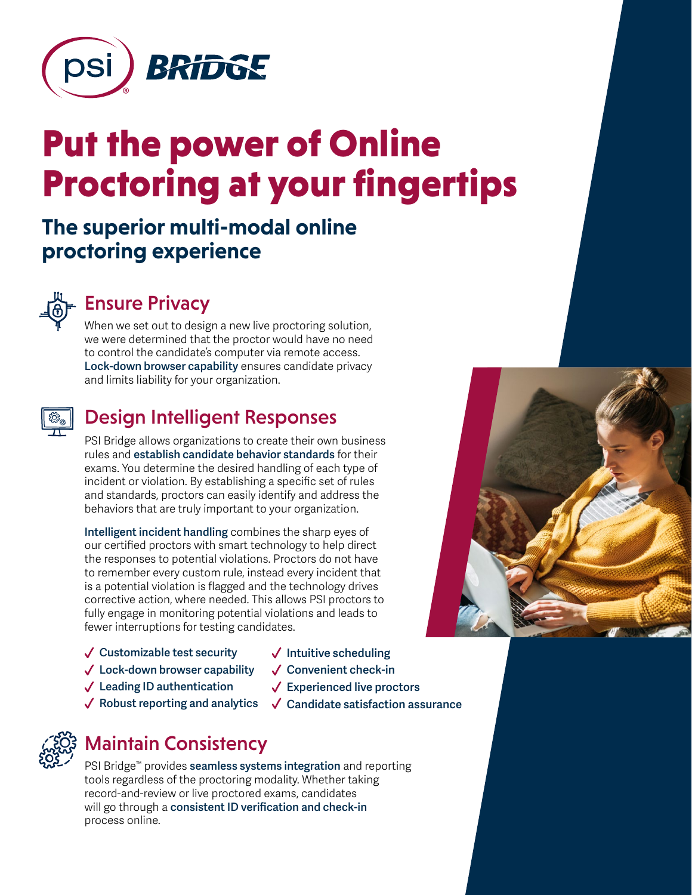

# Put the power of Online Proctoring at your fingertips

# **The superior multi-modal online proctoring experience**



# Ensure Privacy

When we set out to design a new live proctoring solution, we were determined that the proctor would have no need to control the candidate's computer via remote access. **Lock-down browser capability** ensures candidate privacy and limits liability for your organization.



## Design Intelligent Responses

PSI Bridge allows organizations to create their own business rules and **establish candidate behavior standards** for their exams. You determine the desired handling of each type of incident or violation. By establishing a specific set of rules and standards, proctors can easily identify and address the behaviors that are truly important to your organization.

**Intelligent incident handling** combines the sharp eyes of our certified proctors with smart technology to help direct the responses to potential violations. Proctors do not have to remember every custom rule, instead every incident that is a potential violation is flagged and the technology drives corrective action, where needed. This allows PSI proctors to fully engage in monitoring potential violations and leads to fewer interruptions for testing candidates.

- **Customizable test security**
- **Intuitive scheduling**
- **Convenient check-in**

**Experienced live proctors**

**Candidate satisfaction assurance**

- **Leading ID authentication**
- **Robust reporting and analytics**

**Lock-down browser capability**

# Maintain Consistency

PSI Bridge™ provides **seamless systems integration** and reporting tools regardless of the proctoring modality. Whether taking record-and-review or live proctored exams, candidates will go through a **consistent ID verification and check-in** process online.